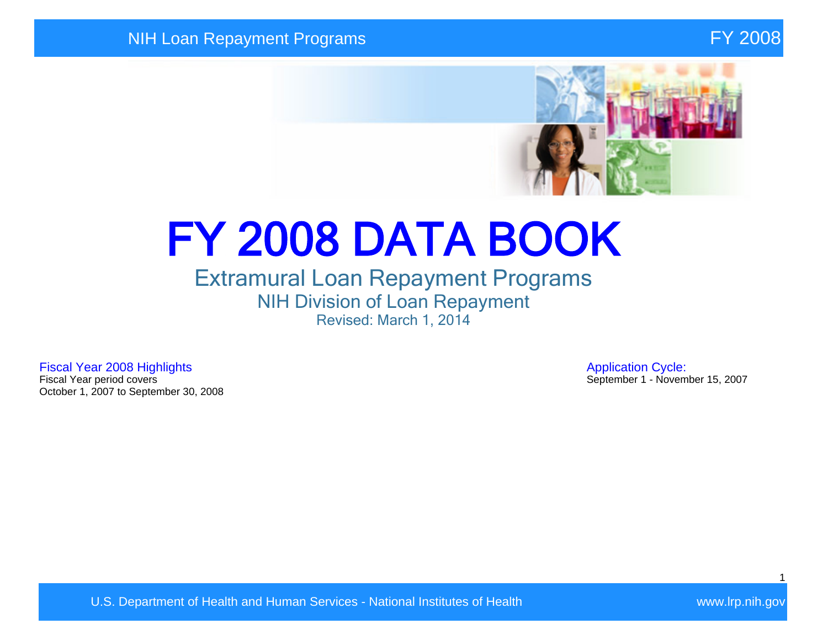

# FY 2008 DATA BOOK

## Extramural Loan Repayment Programs NIH Division of Loan Repayment Revised: March 1, 2014

Fiscal Year 2008 Highlights **Application Cycle:**<br>Fiscal Year period covers **Application Cycle:**<br>Fiscal Year period covers October 1, 2007 to September 30, 2008

September 1 - November 15, 2007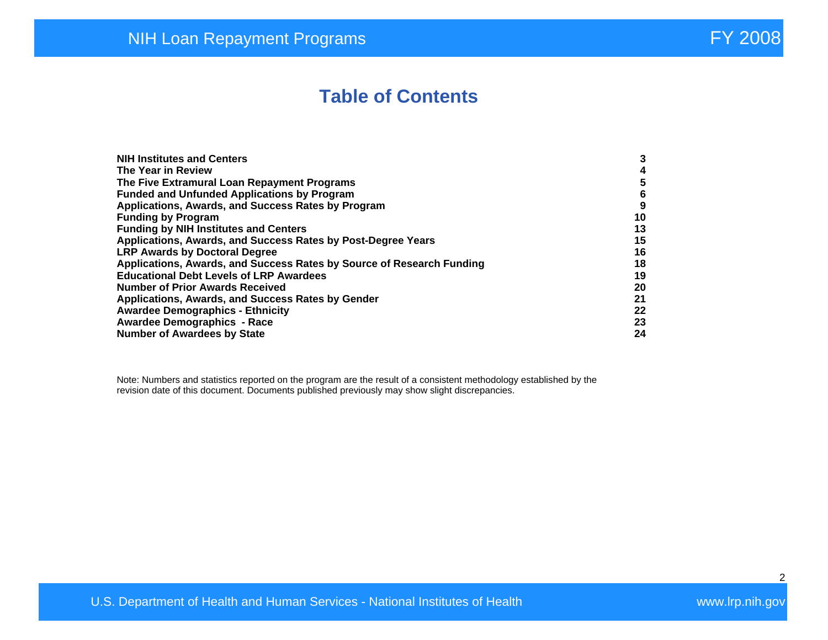## **Table of Contents**

| <b>NIH Institutes and Centers</b>                                     | 3  |
|-----------------------------------------------------------------------|----|
| The Year in Review                                                    | 4  |
| The Five Extramural Loan Repayment Programs                           | 5  |
| <b>Funded and Unfunded Applications by Program</b>                    | 6  |
| Applications, Awards, and Success Rates by Program                    | 9  |
| <b>Funding by Program</b>                                             | 10 |
| <b>Funding by NIH Institutes and Centers</b>                          | 13 |
| Applications, Awards, and Success Rates by Post-Degree Years          | 15 |
| <b>LRP Awards by Doctoral Degree</b>                                  | 16 |
| Applications, Awards, and Success Rates by Source of Research Funding | 18 |
| <b>Educational Debt Levels of LRP Awardees</b>                        | 19 |
| <b>Number of Prior Awards Received</b>                                | 20 |
| Applications, Awards, and Success Rates by Gender                     | 21 |
| <b>Awardee Demographics - Ethnicity</b>                               | 22 |
| <b>Awardee Demographics - Race</b>                                    | 23 |
| <b>Number of Awardees by State</b>                                    | 24 |

Note: Numbers and statistics reported on the program are the result of a consistent methodology established by the revision date of this document. Documents published previously may show slight discrepancies.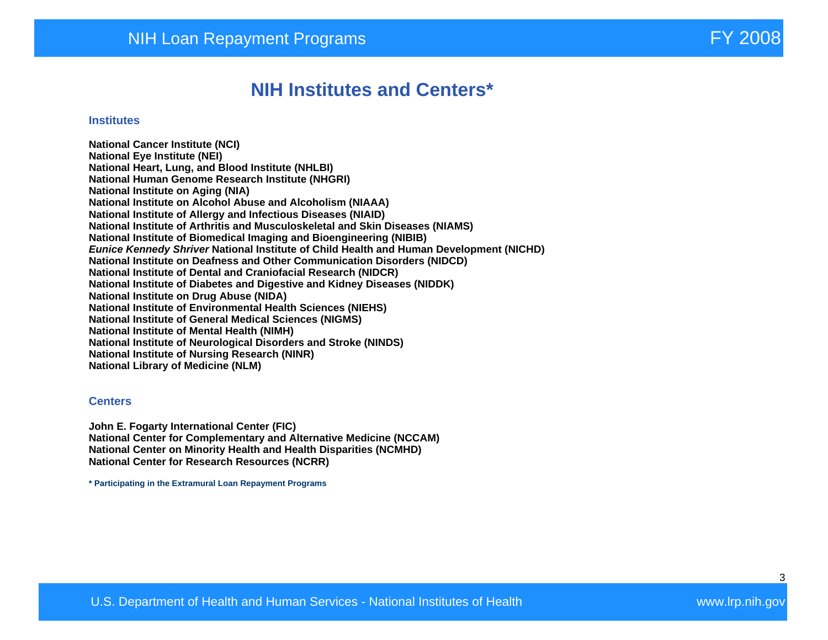### **NIH Institutes and Centers\***

#### **Institutes**

**National Cancer Institute (NCI) National Eye Institute (NEI) National Heart, Lung, and Blood Institute (NHLBI) National Human Genome Research Institute (NHGRI) National Institute on Aging (NIA) National Institute on Alcohol Abuse and Alcoholism (NIAAA) National Institute of Allergy and Infectious Diseases (NIAID) National Institute of Arthritis and Musculoskeletal and Skin Diseases (NIAMS) National Institute of Biomedical Imaging and Bioengineering (NIBIB) Eunice Kennedy Shriver National Institute of Child Health and Human Development (NICHD) National Institute on Deafness and Other Communication Disorders (NIDCD) National Institute of Dental and Craniofacial Research (NIDCR) National Institute of Diabetes and Digestive and Kidney Diseases (NIDDK) National Institute on Drug Abuse (NIDA) National Institute of Environmental Health Sciences (NIEHS) National Institute of General Medical Sciences (NIGMS) National Institute of Mental Health (NIMH) National Institute of Neurological Disorders and Stroke (NINDS) National Institute of Nursing Research (NINR) National Library of Medicine (NLM)** 

#### **Centers**

**John E. Fogarty International Center (FIC) National Center for Complementary and Alternative Medicine (NCCAM) National Center on Minority Health and Health Disparities (NCMHD) National Center for Research Resources (NCRR)** 

**\* Participating in the Extramural Loan Repayment Programs**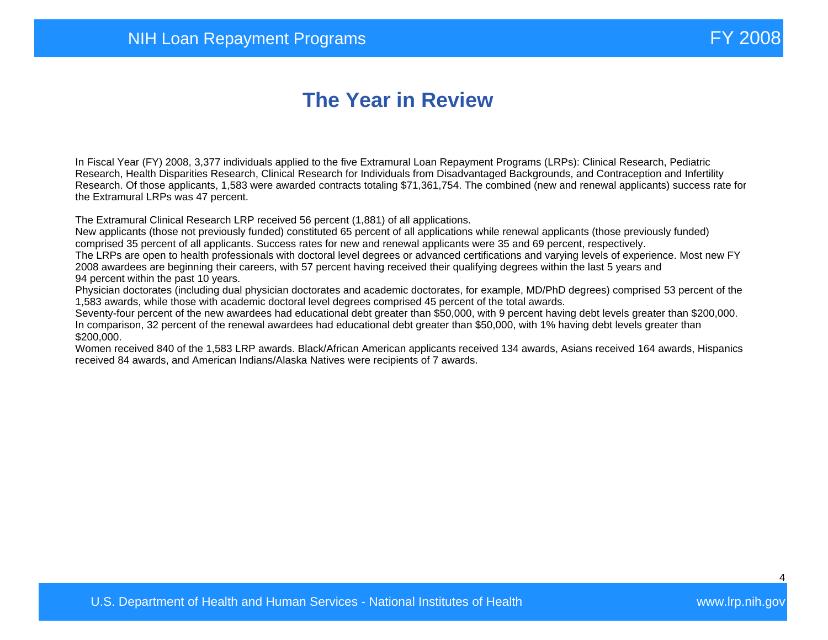# **The Year in Review**

In Fiscal Year (FY) 2008, 3,377 individuals applied to the five Extramural Loan Repayment Programs (LRPs): Clinical Research, Pediatric Research, Health Disparities Research, Clinical Research for Individuals from Disadvantaged Backgrounds, and Contraception and Infertility Research. Of those applicants, 1,583 were awarded contracts totaling \$71,361,754. The combined (new and renewal applicants) success rate for the Extramural LRPs was 47 percent.

The Extramural Clinical Research LRP received 56 percent (1,881) of all applications.

New applicants (those not previously funded) constituted 65 percent of all applications while renewal applicants (those previously funded) comprised 35 percent of all applicants. Success rates for new and renewal applicants were 35 and 69 percent, respectively.

The LRPs are open to health professionals with doctoral level degrees or advanced certifications and varying levels of experience. Most new FY 2008 awardees are beginning their careers, with 57 percent having received their qualifying degrees within the last 5 years and 94 percent within the past 10 years.

Physician doctorates (including dual physician doctorates and academic doctorates, for example, MD/PhD degrees) comprised 53 percent of the 1,583 awards, while those with academic doctoral level degrees comprised 45 percent of the total awards.

Seventy-four percent of the new awardees had educational debt greater than \$50,000, with 9 percent having debt levels greater than \$200,000. In comparison, 32 percent of the renewal awardees had educational debt greater than \$50,000, with 1% having debt levels greater than \$200,000.

Women received 840 of the 1,583 LRP awards. Black/African American applicants received 134 awards, Asians received 164 awards, Hispanics received 84 awards, and American Indians/Alaska Natives were recipients of 7 awards.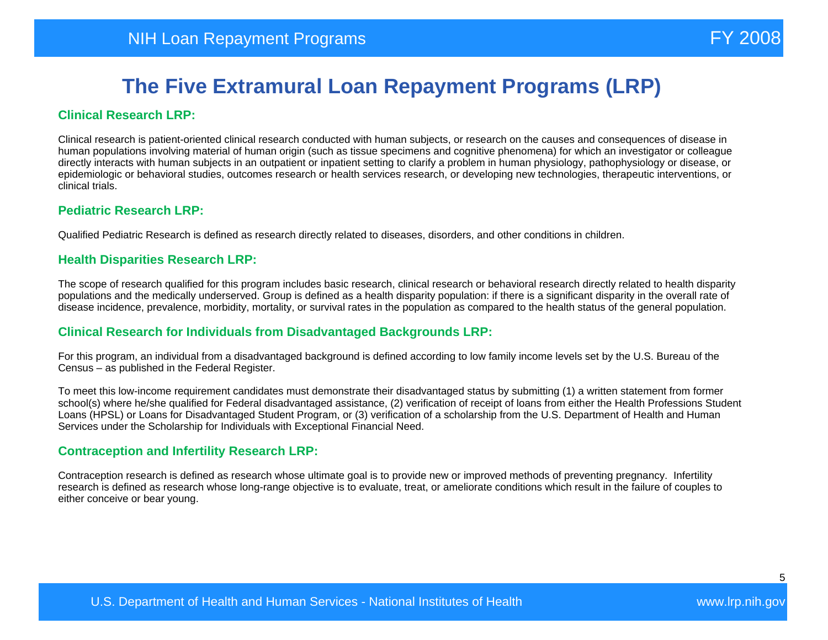#### **Clinical Research LRP:**

Clinical research is patient-oriented clinical research conducted with human subjects, or research on the causes and consequences of disease in human populations involving material of human origin (such as tissue specimens and cognitive phenomena) for which an investigator or colleague directly interacts with human subjects in an outpatient or inpatient setting to clarify a problem in human physiology, pathophysiology or disease, or epidemiologic or behavioral studies, outcomes research or health services research, or developing new technologies, therapeutic interventions, or clinical trials.

#### **Pediatric Research LRP:**

Qualified Pediatric Research is defined as research directly related to diseases, disorders, and other conditions in children.

#### **Health Disparities Research LRP:**

The scope of research qualified for this program includes basic research, clinical research or behavioral research directly related to health disparity populations and the medically underserved. Group is defined as a health disparity population: if there is a significant disparity in the overall rate of disease incidence, prevalence, morbidity, mortality, or survival rates in the population as compared to the health status of the general population.

#### **Clinical Research for Individuals from Disadvantaged Backgrounds LRP:**

For this program, an individual from a disadvantaged background is defined according to low family income levels set by the U.S. Bureau of the Census – as published in the Federal Register.

To meet this low-income requirement candidates must demonstrate their disadvantaged status by submitting (1) a written statement from former school(s) where he/she qualified for Federal disadvantaged assistance, (2) verification of receipt of loans from either the Health Professions Student Loans (HPSL) or Loans for Disadvantaged Student Program, or (3) verification of a scholarship from the U.S. Department of Health and Human Services under the Scholarship for Individuals with Exceptional Financial Need.

#### **Contraception and Infertility Research LRP:**

Contraception research is defined as research whose ultimate goal is to provide new or improved methods of preventing pregnancy. Infertility research is defined as research whose long-range objective is to evaluate, treat, or ameliorate conditions which result in the failure of couples to either conceive or bear young.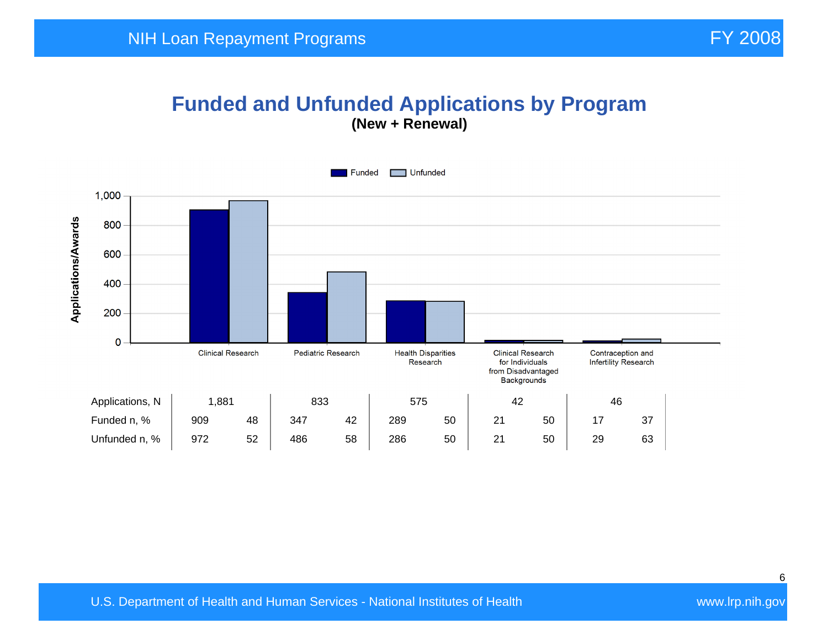## **Funded and Unfunded Applications by Program (New + Renewal)**

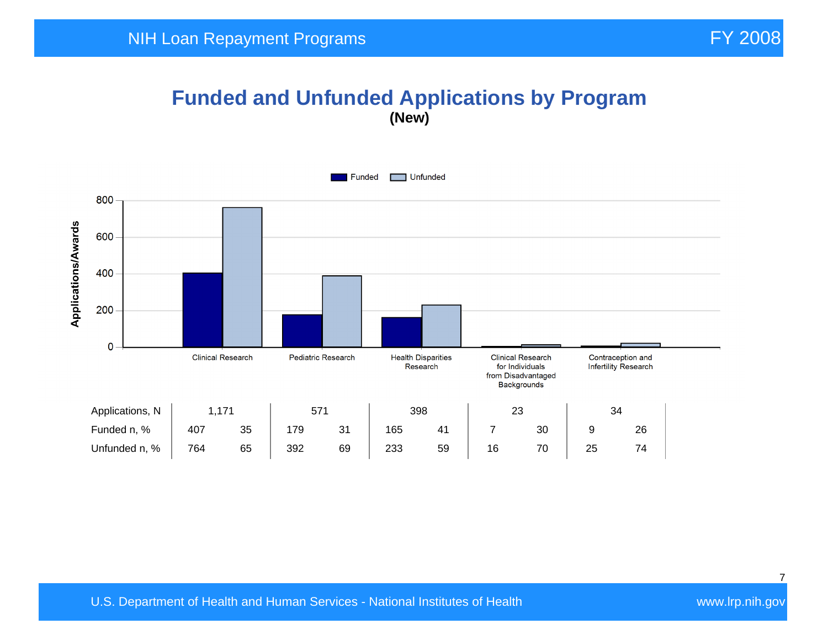## **Funded and Unfunded Applications by Program (New)**

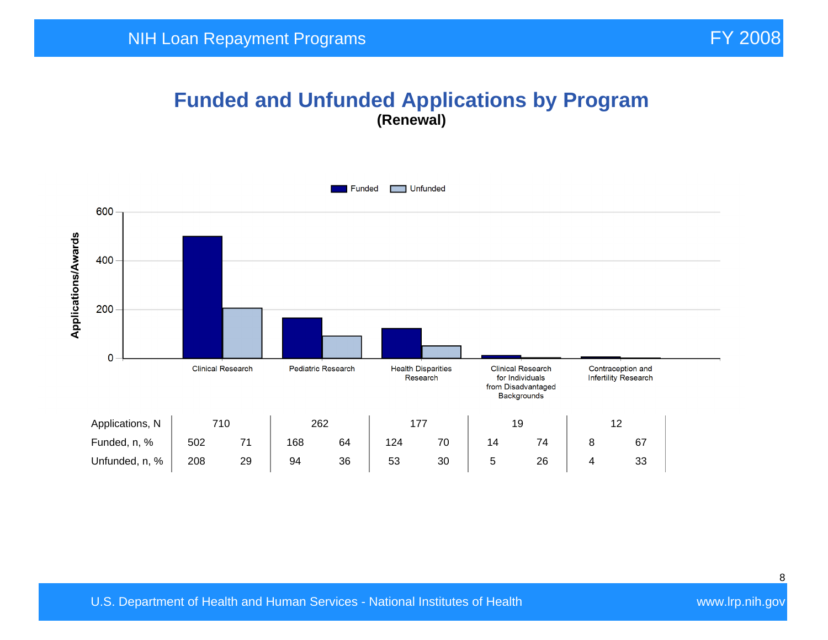#### **Funded and Unfunded Applications by Program (Renewal)**

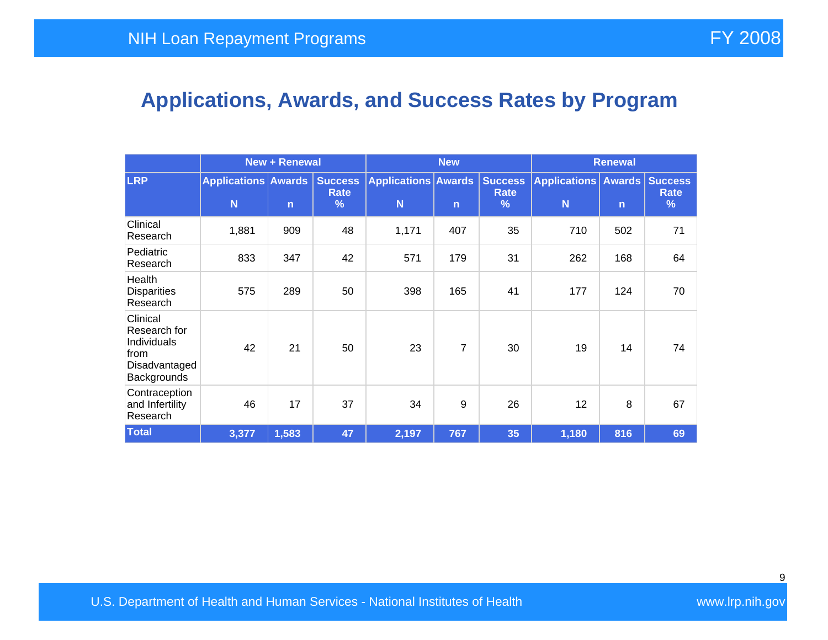# **Applications, Awards, and Success Rates by Program**

|                                                                                 | <b>New + Renewal</b>            |              |                                    | <b>New</b>                      |              |                                                | <b>Renewal</b>               |              |                             |
|---------------------------------------------------------------------------------|---------------------------------|--------------|------------------------------------|---------------------------------|--------------|------------------------------------------------|------------------------------|--------------|-----------------------------|
| <b>LRP</b>                                                                      | <b>Applications Awards</b><br>N | $\mathsf{n}$ | <b>Success</b><br><b>Rate</b><br>% | <b>Applications Awards</b><br>N | $\mathsf{n}$ | <b>Success</b><br><b>Rate</b><br>$\frac{9}{6}$ | Applications   Awards  <br>N | $\mathsf{n}$ | <b>Success</b><br>Rate<br>% |
| Clinical<br>Research                                                            | 1,881                           | 909          | 48                                 | 1,171                           | 407          | 35                                             | 710                          | 502          | 71                          |
| Pediatric<br>Research                                                           | 833                             | 347          | 42                                 | 571                             | 179          | 31                                             | 262                          | 168          | 64                          |
| Health<br><b>Disparities</b><br>Research                                        | 575                             | 289          | 50                                 | 398                             | 165          | 41                                             | 177                          | 124          | 70                          |
| Clinical<br>Research for<br>Individuals<br>from<br>Disadvantaged<br>Backgrounds | 42                              | 21           | 50                                 | 23                              | 7            | 30                                             | 19                           | 14           | 74                          |
| Contraception<br>and Infertility<br>Research                                    | 46                              | 17           | 37                                 | 34                              | 9            | 26                                             | 12                           | 8            | 67                          |
| <b>Total</b>                                                                    | 3,377                           | 1,583        | 47                                 | 2,197                           | 767          | 35                                             | 1,180                        | 816          | 69                          |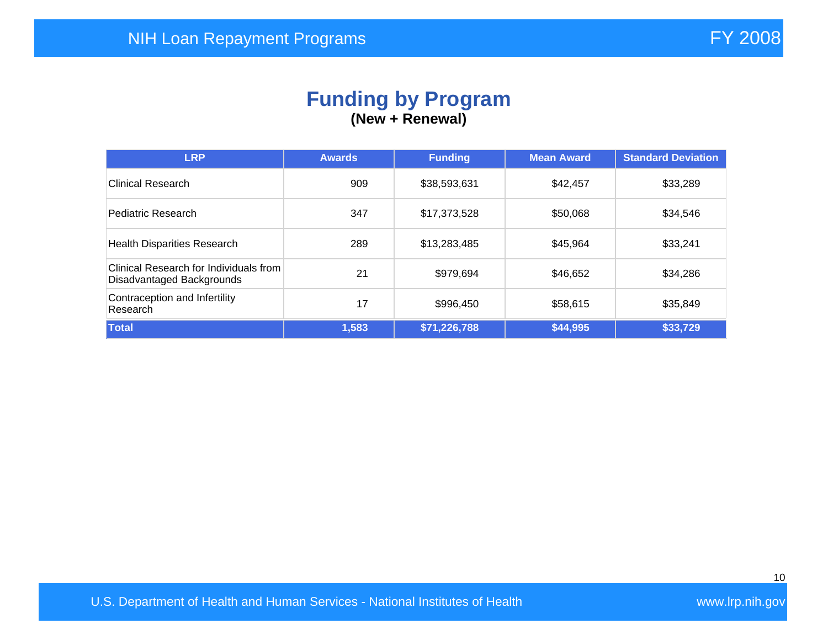#### **Funding by Program (New + Renewal)**

| <b>LRP</b>                                                          | <b>Awards</b> | <b>Funding</b> | <b>Mean Award</b> | <b>Standard Deviation</b> |
|---------------------------------------------------------------------|---------------|----------------|-------------------|---------------------------|
| <b>Clinical Research</b>                                            | 909           | \$38,593,631   | \$42,457          | \$33,289                  |
| Pediatric Research                                                  | 347           | \$17,373,528   | \$50,068          | \$34,546                  |
| <b>Health Disparities Research</b>                                  | 289           | \$13,283,485   | \$45,964          | \$33,241                  |
| Clinical Research for Individuals from<br>Disadvantaged Backgrounds | 21            | \$979,694      | \$46,652          | \$34,286                  |
| Contraception and Infertility<br>Research                           | 17            | \$996,450      | \$58,615          | \$35,849                  |
| Total                                                               | 1,583         | \$71,226,788   | \$44,995          | \$33,729                  |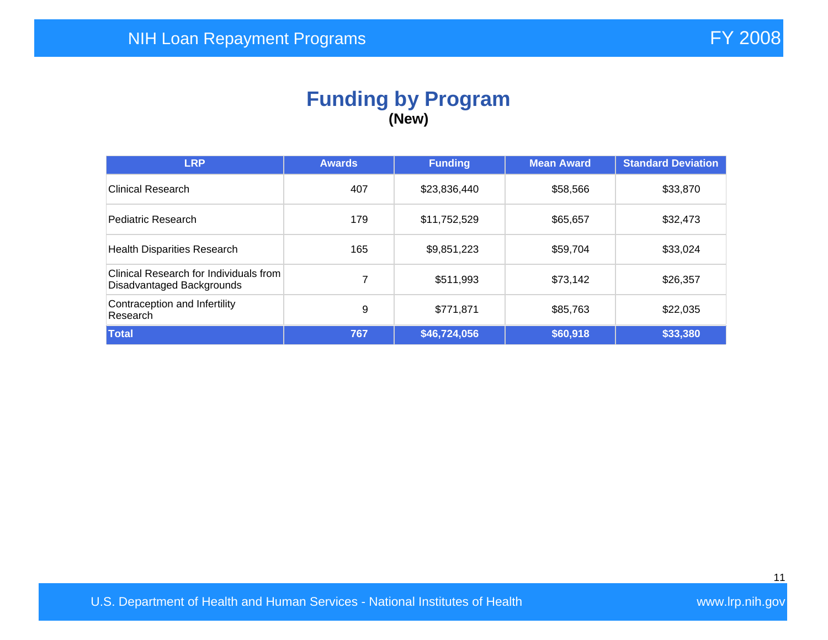#### **Funding by Program (New)**

| <b>LRP</b>                                                          | <b>Awards</b> | <b>Funding</b> | <b>Mean Award</b> | <b>Standard Deviation</b> |
|---------------------------------------------------------------------|---------------|----------------|-------------------|---------------------------|
| Clinical Research                                                   | 407           | \$23,836,440   | \$58,566          | \$33,870                  |
| Pediatric Research                                                  | 179           | \$11,752,529   | \$65,657          | \$32,473                  |
| <b>Health Disparities Research</b>                                  | 165           | \$9,851,223    | \$59,704          | \$33,024                  |
| Clinical Research for Individuals from<br>Disadvantaged Backgrounds | 7             | \$511,993      | \$73,142          | \$26,357                  |
| Contraception and Infertility<br>Research                           | 9             | \$771,871      | \$85,763          | \$22,035                  |
| Total                                                               | 767           | \$46,724,056   | \$60,918          | \$33,380                  |

U.S. Department of Health and Human Services - National Institutes of Health Walles and Wave Wave Irp.nih.gov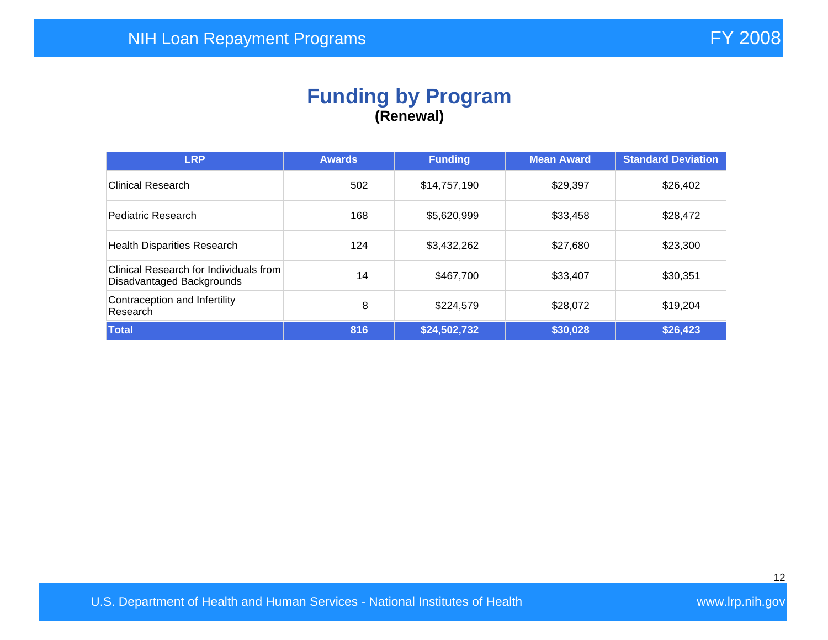### **Funding by Program (Renewal)**

| <b>LRP</b>                                                          | <b>Awards</b> | <b>Funding</b> | <b>Mean Award</b> | <b>Standard Deviation</b> |
|---------------------------------------------------------------------|---------------|----------------|-------------------|---------------------------|
| Clinical Research                                                   | 502           | \$14,757,190   | \$29,397          | \$26,402                  |
| Pediatric Research                                                  | 168           | \$5,620,999    | \$33,458          | \$28,472                  |
| <b>Health Disparities Research</b>                                  | 124           | \$3,432,262    | \$27,680          | \$23,300                  |
| Clinical Research for Individuals from<br>Disadvantaged Backgrounds | 14            | \$467,700      | \$33,407          | \$30,351                  |
| Contraception and Infertility<br>Research                           | 8             | \$224,579      | \$28,072          | \$19,204                  |
| Total                                                               | 816           | \$24,502,732   | \$30,028          | \$26,423                  |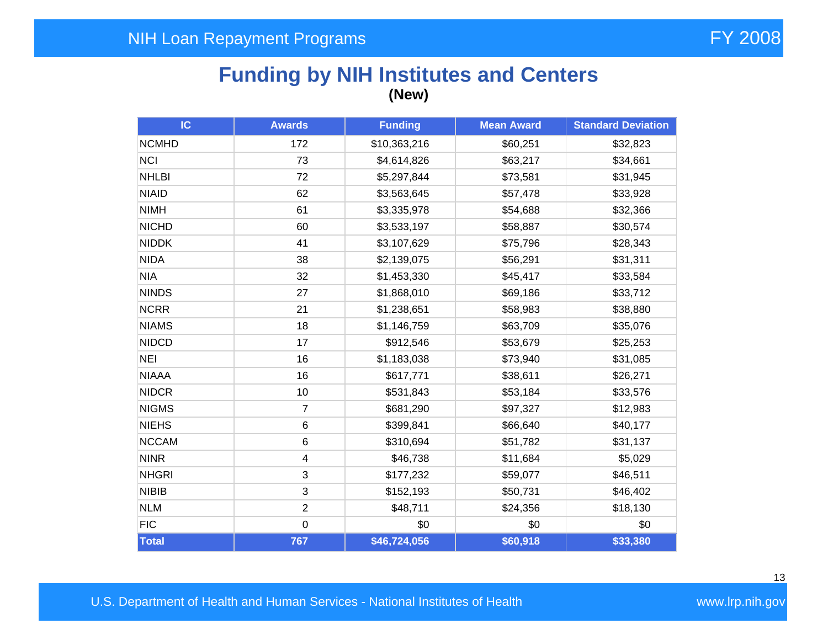## **Funding by NIH Institutes and Centers (New)**

| IC           | <b>Awards</b>  | <b>Funding</b> | <b>Mean Award</b> | <b>Standard Deviation</b> |
|--------------|----------------|----------------|-------------------|---------------------------|
| <b>NCMHD</b> | 172            | \$10,363,216   | \$60,251          | \$32,823                  |
| <b>NCI</b>   | 73             | \$4,614,826    | \$63,217          | \$34,661                  |
| <b>NHLBI</b> | 72             | \$5,297,844    | \$73,581          | \$31,945                  |
| <b>NIAID</b> | 62             | \$3,563,645    | \$57,478          | \$33,928                  |
| <b>NIMH</b>  | 61             | \$3,335,978    | \$54,688          | \$32,366                  |
| <b>NICHD</b> | 60             | \$3,533,197    | \$58,887          | \$30,574                  |
| <b>NIDDK</b> | 41             | \$3,107,629    | \$75,796          | \$28,343                  |
| <b>NIDA</b>  | 38             | \$2,139,075    | \$56,291          | \$31,311                  |
| <b>NIA</b>   | 32             | \$1,453,330    | \$45,417          | \$33,584                  |
| <b>NINDS</b> | 27             | \$1,868,010    | \$69,186          | \$33,712                  |
| <b>NCRR</b>  | 21             | \$1,238,651    | \$58,983          | \$38,880                  |
| <b>NIAMS</b> | 18             | \$1,146,759    | \$63,709          | \$35,076                  |
| <b>NIDCD</b> | 17             | \$912,546      | \$53,679          | \$25,253                  |
| <b>NEI</b>   | 16             | \$1,183,038    | \$73,940          | \$31,085                  |
| <b>NIAAA</b> | 16             | \$617,771      | \$38,611          | \$26,271                  |
| <b>NIDCR</b> | 10             | \$531,843      | \$53,184          | \$33,576                  |
| <b>NIGMS</b> | $\overline{7}$ | \$681,290      | \$97,327          | \$12,983                  |
| <b>NIEHS</b> | 6              | \$399,841      | \$66,640          | \$40,177                  |
| <b>NCCAM</b> | $\,6$          | \$310,694      | \$51,782          | \$31,137                  |
| <b>NINR</b>  | 4              | \$46,738       | \$11,684          | \$5,029                   |
| <b>NHGRI</b> | 3              | \$177,232      | \$59,077          | \$46,511                  |
| <b>NIBIB</b> | 3              | \$152,193      | \$50,731          | \$46,402                  |
| <b>NLM</b>   | $\overline{2}$ | \$48,711       | \$24,356          | \$18,130                  |
| <b>FIC</b>   | $\mathbf 0$    | \$0            | \$0               | \$0                       |
| <b>Total</b> | 767            | \$46,724,056   | \$60,918          | \$33,380                  |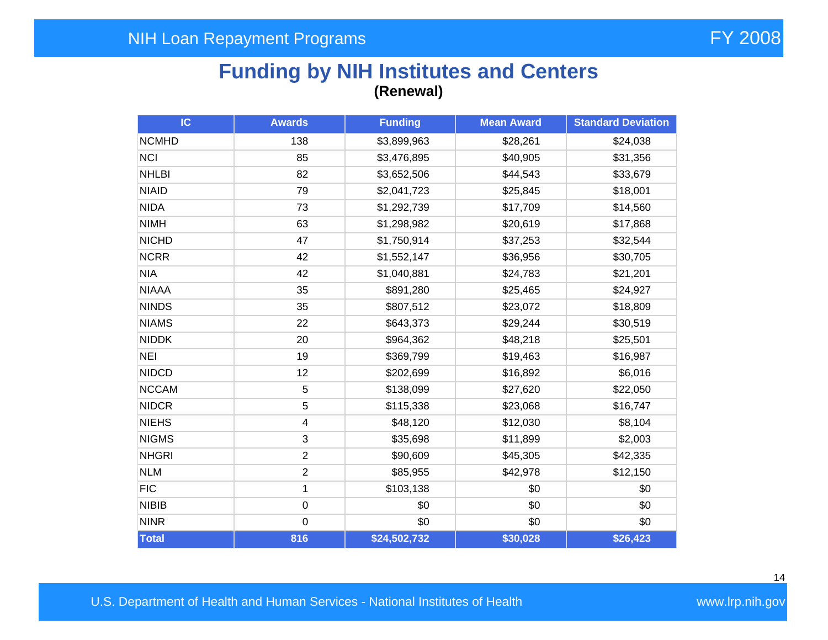## **Funding by NIH Institutes and Centers (Renewal)**

| IC           | <b>Awards</b>  | <b>Funding</b> | <b>Mean Award</b> | <b>Standard Deviation</b> |
|--------------|----------------|----------------|-------------------|---------------------------|
| <b>NCMHD</b> | 138            | \$3,899,963    | \$28,261          | \$24,038                  |
| <b>NCI</b>   | 85             | \$3,476,895    | \$40,905          | \$31,356                  |
| <b>NHLBI</b> | 82             | \$3,652,506    | \$44,543          | \$33,679                  |
| <b>NIAID</b> | 79             | \$2,041,723    | \$25,845          | \$18,001                  |
| <b>NIDA</b>  | 73             | \$1,292,739    | \$17,709          | \$14,560                  |
| <b>NIMH</b>  | 63             | \$1,298,982    | \$20,619          | \$17,868                  |
| <b>NICHD</b> | 47             | \$1,750,914    | \$37,253          | \$32,544                  |
| <b>NCRR</b>  | 42             | \$1,552,147    | \$36,956          | \$30,705                  |
| <b>NIA</b>   | 42             | \$1,040,881    | \$24,783          | \$21,201                  |
| <b>NIAAA</b> | 35             | \$891,280      | \$25,465          | \$24,927                  |
| <b>NINDS</b> | 35             | \$807,512      | \$23,072          | \$18,809                  |
| <b>NIAMS</b> | 22             | \$643,373      | \$29,244          | \$30,519                  |
| <b>NIDDK</b> | 20             | \$964,362      | \$48,218          | \$25,501                  |
| <b>NEI</b>   | 19             | \$369,799      | \$19,463          | \$16,987                  |
| <b>NIDCD</b> | 12             | \$202,699      | \$16,892          | \$6,016                   |
| <b>NCCAM</b> | 5              | \$138,099      | \$27,620          | \$22,050                  |
| <b>NIDCR</b> | 5              | \$115,338      | \$23,068          | \$16,747                  |
| <b>NIEHS</b> | 4              | \$48,120       | \$12,030          | \$8,104                   |
| <b>NIGMS</b> | 3              | \$35,698       | \$11,899          | \$2,003                   |
| <b>NHGRI</b> | $\overline{2}$ | \$90,609       | \$45,305          | \$42,335                  |
| <b>NLM</b>   | $\overline{2}$ | \$85,955       | \$42,978          | \$12,150                  |
| <b>FIC</b>   | 1              | \$103,138      | \$0               | \$0                       |
| <b>NIBIB</b> | $\mathsf 0$    | \$0            | \$0               | \$0                       |
| <b>NINR</b>  | $\mathbf 0$    | \$0            | \$0               | \$0                       |
| Total        | 816            | \$24,502,732   | \$30,028          | \$26,423                  |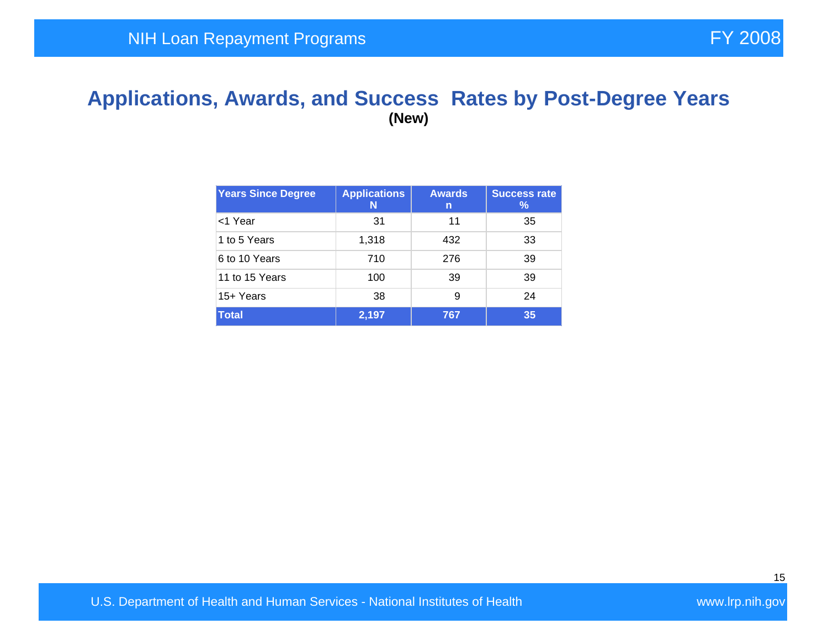### **Applications, Awards, and Success Rates by Post-Degree Years (New)**

| <b>Years Since Degree</b> | <b>Applications</b><br>N | <b>Awards</b><br>n | <b>Success rate</b><br>$\%$ |
|---------------------------|--------------------------|--------------------|-----------------------------|
| <1 Year                   | 31                       | 11                 | 35                          |
| 1 to 5 Years              | 1,318                    | 432                | 33                          |
| 6 to 10 Years             | 710                      | 276                | 39                          |
| 11 to 15 Years            | 100                      | 39                 | 39                          |
| 15+ Years                 | 38                       | 9                  | 24                          |
| <b>Total</b>              | 2,197                    | 767                | 35                          |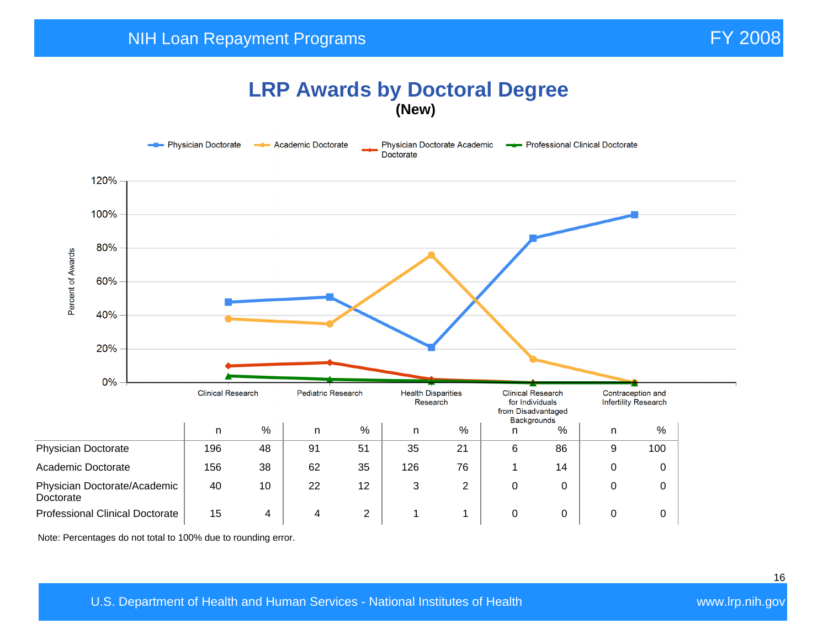#### **LRP Awards by Doctoral Degree (New)**



Note: Percentages do not total to 100% due to rounding error.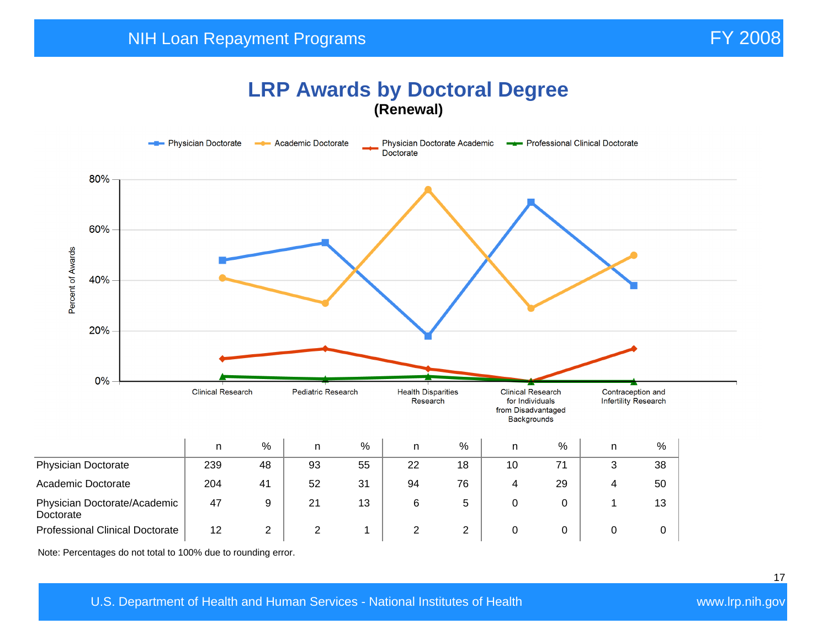### **LRP Awards by Doctoral Degree (Renewal)**



Note: Percentages do not total to 100% due to rounding error.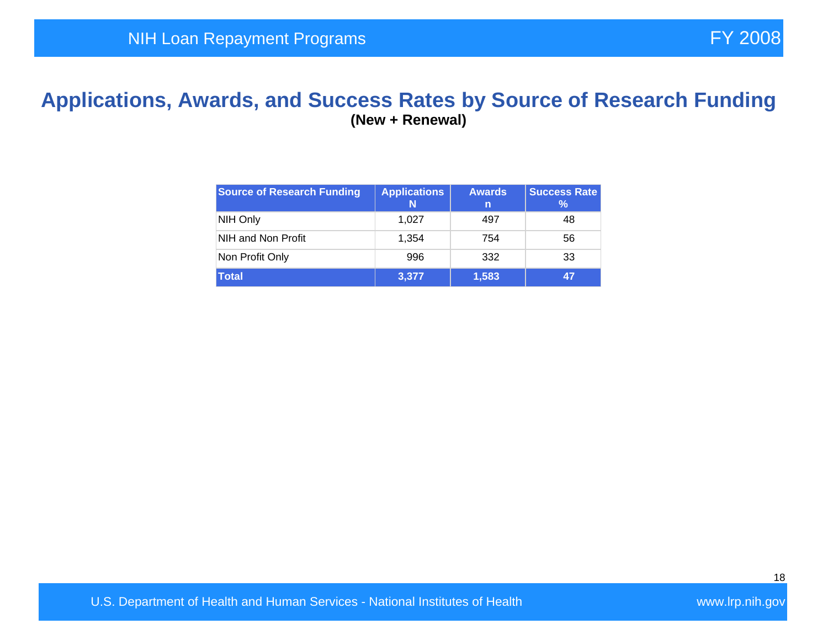### **Applications, Awards, and Success Rates by Source of Research Funding (New + Renewal)**

| <b>Source of Research Funding</b> | <b>Applications</b><br>N | <b>Awards</b><br>n | <b>Success Rate</b><br>℅ |
|-----------------------------------|--------------------------|--------------------|--------------------------|
| NIH Only                          | 1,027                    | 497                | 48                       |
| NIH and Non Profit                | 1.354                    | 754                | 56                       |
| Non Profit Only                   | 996                      | 332                | 33                       |
| <b>Total</b>                      | 3,377                    | 1,583              | 47                       |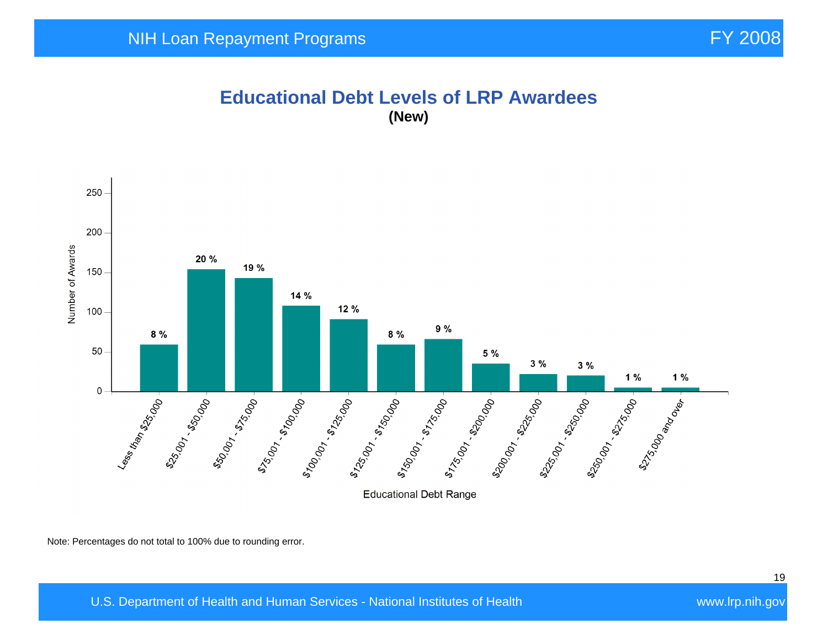#### **Educational Debt Levels of LRP Awardees (New)**



Note: Percentages do not total to 100% due to rounding error.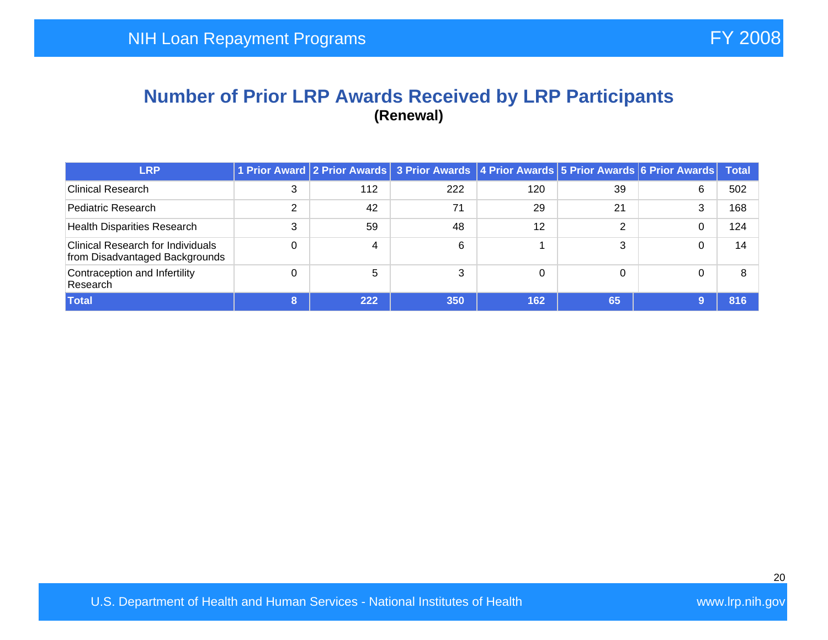#### **Number of Prior LRP Awards Received by LRP Participants (Renewal)**

| <b>LRP</b>                                                                 |   |     | 1 Prior Award 2 Prior Awards 3 Prior Awards 4 Prior Awards 5 Prior Awards 6 Prior Awards |     |    |   | Total |
|----------------------------------------------------------------------------|---|-----|------------------------------------------------------------------------------------------|-----|----|---|-------|
| <b>Clinical Research</b>                                                   | 3 | 112 | 222                                                                                      | 120 | 39 | 6 | 502   |
| Pediatric Research                                                         |   | 42  | 71                                                                                       | 29  | 21 | 3 | 168   |
| <b>Health Disparities Research</b>                                         | 3 | 59  | 48                                                                                       | 12  | C  |   | 124   |
| <b>Clinical Research for Individuals</b><br>from Disadvantaged Backgrounds |   | 4   | 6                                                                                        |     | 3  |   | 14    |
| Contraception and Infertility<br>Research                                  |   | 5   | ົ                                                                                        | 0   | 0  |   | 8     |
| <b>Total</b>                                                               |   | 222 | 350                                                                                      | 162 | 65 |   | 816   |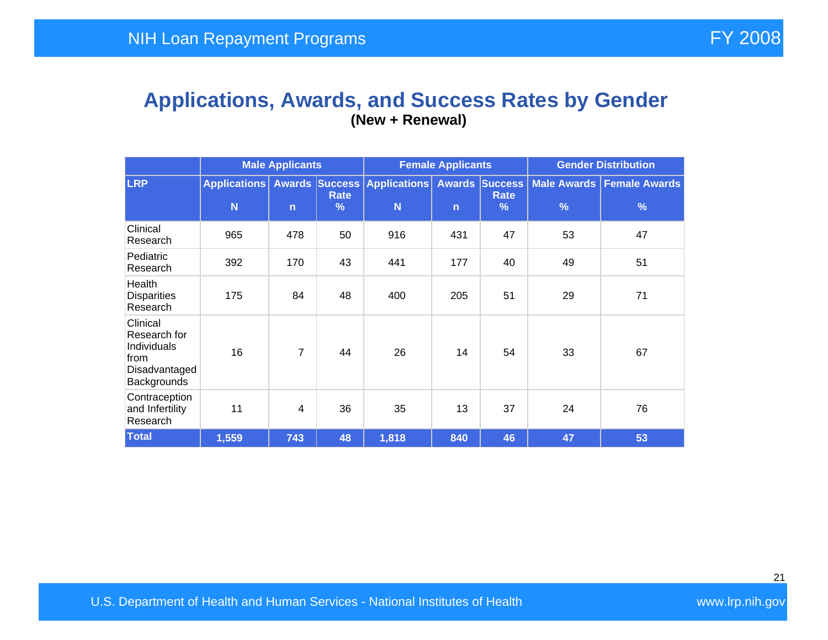#### **Applications, Awards, and Success Rates by Gender (New + Renewal)**

|                                                                                 | <b>Male Applicants</b>   |                |                       | <b>Female Applicants</b>                |              |                                              | <b>Gender Distribution</b>          |                                       |  |
|---------------------------------------------------------------------------------|--------------------------|----------------|-----------------------|-----------------------------------------|--------------|----------------------------------------------|-------------------------------------|---------------------------------------|--|
| <b>LRP</b>                                                                      | <b>Applications</b><br>N | $\mathsf{n}$   | Rate<br>$\frac{9}{6}$ | <b>Awards Success Applications</b><br>N | $\mathsf{n}$ | <b>Awards Success</b><br><b>Rate</b><br>$\%$ | <b>Male Awards</b><br>$\frac{9}{6}$ | <b>Female Awards</b><br>$\frac{9}{6}$ |  |
| Clinical<br>Research                                                            | 965                      | 478            | 50                    | 916                                     | 431          | 47                                           | 53                                  | 47                                    |  |
| Pediatric<br>Research                                                           | 392                      | 170            | 43                    | 441                                     | 177          | 40                                           | 49                                  | 51                                    |  |
| Health<br><b>Disparities</b><br>Research                                        | 175                      | 84             | 48                    | 400                                     | 205          | 51                                           | 29                                  | 71                                    |  |
| Clinical<br>Research for<br>Individuals<br>from<br>Disadvantaged<br>Backgrounds | 16                       | $\overline{7}$ | 44                    | 26                                      | 14           | 54                                           | 33                                  | 67                                    |  |
| Contraception<br>and Infertility<br>Research                                    | 11                       | $\overline{4}$ | 36                    | 35                                      | 13           | 37                                           | 24                                  | 76                                    |  |
| <b>Total</b>                                                                    | 1,559                    | 743            | 48                    | 1,818                                   | 840          | 46                                           | 47                                  | 53                                    |  |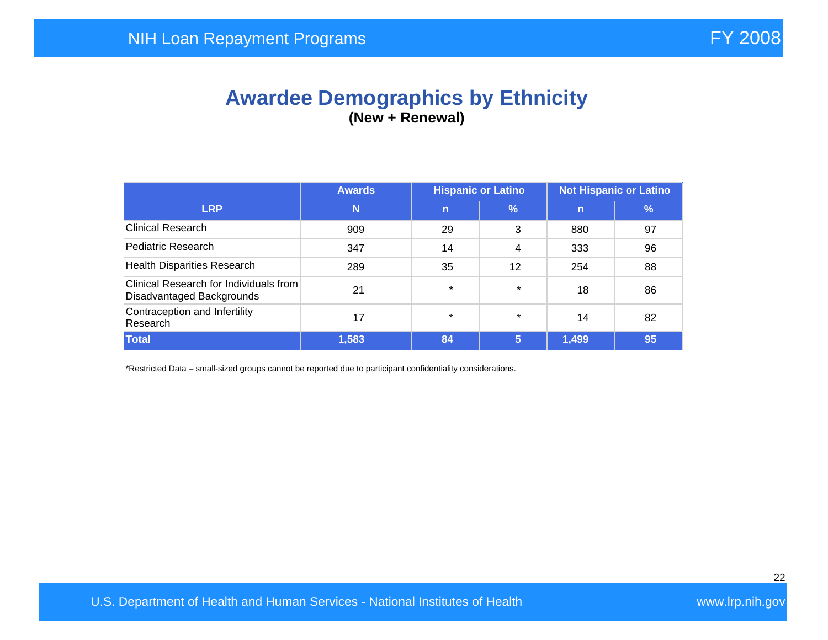## **Awardee Demographics by Ethnicity (New + Renewal)**

|                                                                     | <b>Hispanic or Latino</b><br><b>Not Hispanic or Latino</b><br><b>Awards</b> |             |         |       |    |
|---------------------------------------------------------------------|-----------------------------------------------------------------------------|-------------|---------|-------|----|
| <b>LRP</b>                                                          | N                                                                           | $\mathbf n$ | %       | n     | %  |
| <b>Clinical Research</b>                                            | 909                                                                         | 29          | 3       | 880   | 97 |
| Pediatric Research                                                  | 347                                                                         | 14          | 4       | 333   | 96 |
| <b>Health Disparities Research</b>                                  | 289                                                                         | 35          | 12      | 254   | 88 |
| Clinical Research for Individuals from<br>Disadvantaged Backgrounds | 21                                                                          | $\star$     | $\star$ | 18    | 86 |
| Contraception and Infertility<br>Research                           | 17                                                                          | $\star$     | $\star$ | 14    | 82 |
| <b>Total</b>                                                        | 1,583                                                                       | 84          | 5       | 1,499 | 95 |

\*Restricted Data – small-sized groups cannot be reported due to participant confidentiality considerations.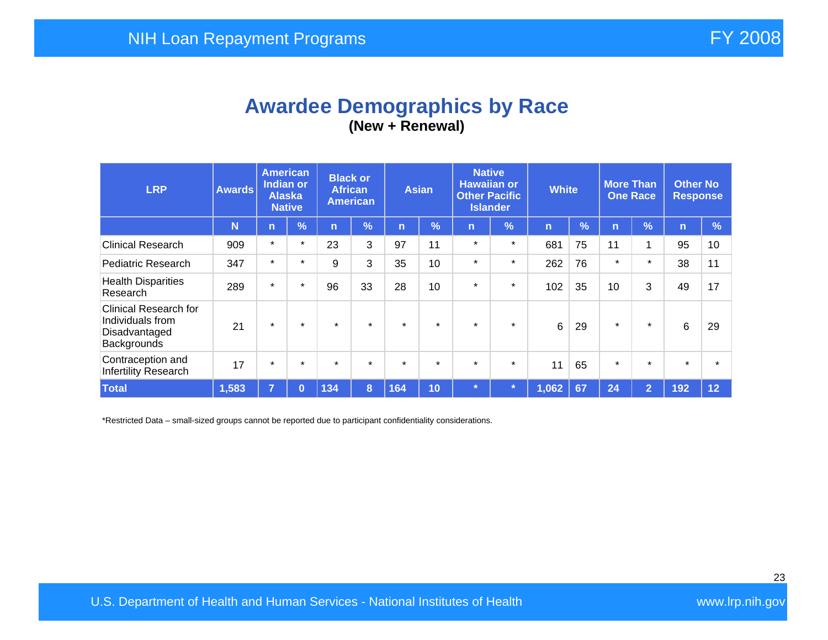## **Awardee Demographics by Race (New + Renewal)**

| <b>LRP</b>                                                                       | <b>Awards</b> | <b>American</b><br><b>Indian or</b><br><b>Alaska</b><br><b>Native</b> |               | <b>Black or</b><br><b>African</b><br><b>American</b> |               | <b>Asian</b> |               | <b>Native</b><br><b>Hawaiian or</b><br><b>Other Pacific</b><br><b>Islander</b> |               | <b>White</b>   |    | <b>More Than</b><br><b>One Race</b> |                | <b>Other No</b><br><b>Response</b> |               |
|----------------------------------------------------------------------------------|---------------|-----------------------------------------------------------------------|---------------|------------------------------------------------------|---------------|--------------|---------------|--------------------------------------------------------------------------------|---------------|----------------|----|-------------------------------------|----------------|------------------------------------|---------------|
|                                                                                  | N             | $\overline{n}$                                                        | $\frac{9}{6}$ | 'n                                                   | $\frac{1}{2}$ | 'n           | $\frac{9}{6}$ | n                                                                              | $\frac{9}{6}$ | $\overline{n}$ | %  | n                                   | $\sqrt{2}$     | $\mathbf n$                        | $\frac{9}{6}$ |
| <b>Clinical Research</b>                                                         | 909           | $\star$                                                               | $\star$       | 23                                                   | 3             | 97           | 11            | $\star$                                                                        | $\star$       | 681            | 75 | 11                                  | 1              | 95                                 | 10            |
| Pediatric Research                                                               | 347           | $\star$                                                               | $\star$       | 9                                                    | 3             | 35           | 10            | $\star$                                                                        | $\star$       | 262            | 76 | $\star$                             | $\star$        | 38                                 | 11            |
| <b>Health Disparities</b><br>Research                                            | 289           | $\star$                                                               | $\star$       | 96                                                   | 33            | 28           | 10            | $\star$                                                                        | $\star$       | 102            | 35 | 10                                  | 3              | 49                                 | 17            |
| <b>Clinical Research for</b><br>Individuals from<br>Disadvantaged<br>Backgrounds | 21            | $\star$                                                               | $\star$       | $\star$                                              | $\star$       | $\star$      | $\star$       | $\star$                                                                        | $\star$       | 6              | 29 | $\star$                             | $\star$        | 6                                  | 29            |
| Contraception and<br>Infertility Research                                        | 17            | $\star$                                                               | $\star$       | $\star$                                              | $\star$       | $\star$      | $\star$       | $\star$                                                                        | $\star$       | 11             | 65 | $\star$                             | $\star$        | $\star$                            |               |
| <b>Total</b>                                                                     | 1,583         | $\overline{7}$                                                        | $\bf{0}$      | 134                                                  | 8             | 164          | 10            | $\star$                                                                        |               | 1,062          | 67 | 24                                  | $\overline{2}$ | 192                                | 12            |

\*Restricted Data – small-sized groups cannot be reported due to participant confidentiality considerations.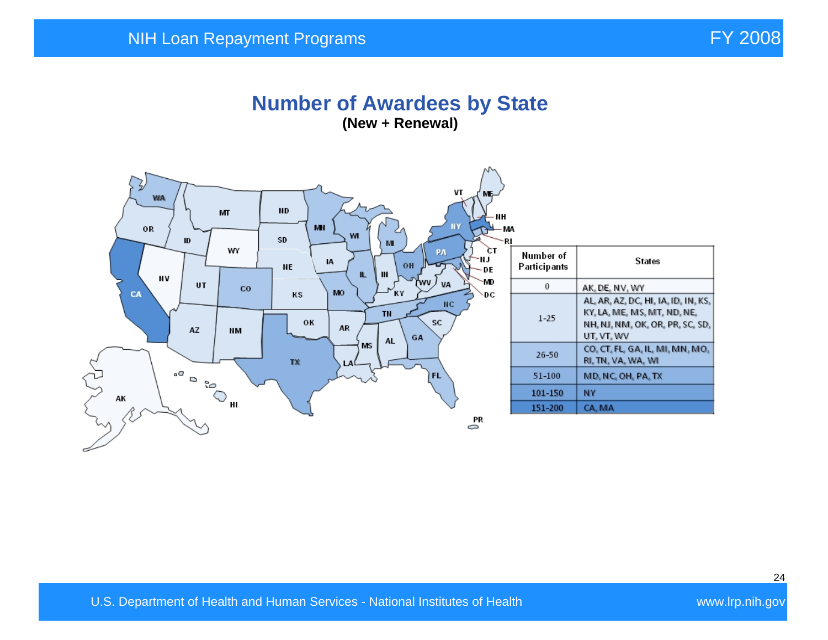#### **Number of Awardees by State (New + Renewal)**